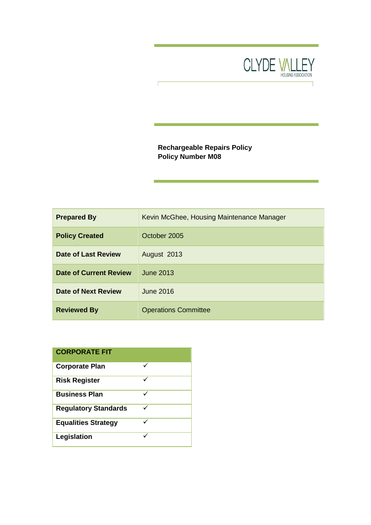

# **Rechargeable Repairs Policy Policy Number M08**

| <b>Prepared By</b>            | Kevin McGhee, Housing Maintenance Manager |
|-------------------------------|-------------------------------------------|
| <b>Policy Created</b>         | October 2005                              |
| <b>Date of Last Review</b>    | August 2013                               |
| <b>Date of Current Review</b> | June 2013                                 |
| Date of Next Review           | June 2016                                 |
| <b>Reviewed By</b>            | <b>Operations Committee</b>               |

| <b>CORPORATE FIT</b>        |   |
|-----------------------------|---|
| <b>Corporate Plan</b>       |   |
| <b>Risk Register</b>        | ✓ |
| <b>Business Plan</b>        |   |
| <b>Regulatory Standards</b> | ✓ |
| <b>Equalities Strategy</b>  |   |
| Legislation                 |   |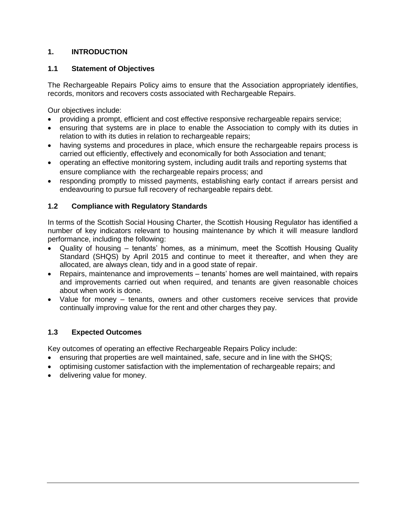# **1. INTRODUCTION**

## **1.1 Statement of Objectives**

The Rechargeable Repairs Policy aims to ensure that the Association appropriately identifies, records, monitors and recovers costs associated with Rechargeable Repairs.

Our objectives include:

- providing a prompt, efficient and cost effective responsive rechargeable repairs service;
- ensuring that systems are in place to enable the Association to comply with its duties in relation to with its duties in relation to rechargeable repairs;
- having systems and procedures in place, which ensure the rechargeable repairs process is carried out efficiently, effectively and economically for both Association and tenant;
- operating an effective monitoring system, including audit trails and reporting systems that ensure compliance with the rechargeable repairs process; and
- responding promptly to missed payments, establishing early contact if arrears persist and endeavouring to pursue full recovery of rechargeable repairs debt.

## **1.2 Compliance with Regulatory Standards**

In terms of the Scottish Social Housing Charter, the Scottish Housing Regulator has identified a number of key indicators relevant to housing maintenance by which it will measure landlord performance, including the following:

- Quality of housing tenants' homes, as a minimum, meet the Scottish Housing Quality Standard (SHQS) by April 2015 and continue to meet it thereafter, and when they are allocated, are always clean, tidy and in a good state of repair.
- Repairs, maintenance and improvements tenants' homes are well maintained, with repairs and improvements carried out when required, and tenants are given reasonable choices about when work is done.
- Value for money tenants, owners and other customers receive services that provide continually improving value for the rent and other charges they pay.

## **1.3 Expected Outcomes**

Key outcomes of operating an effective Rechargeable Repairs Policy include:

- ensuring that properties are well maintained, safe, secure and in line with the SHQS;
- optimising customer satisfaction with the implementation of rechargeable repairs; and
- delivering value for money.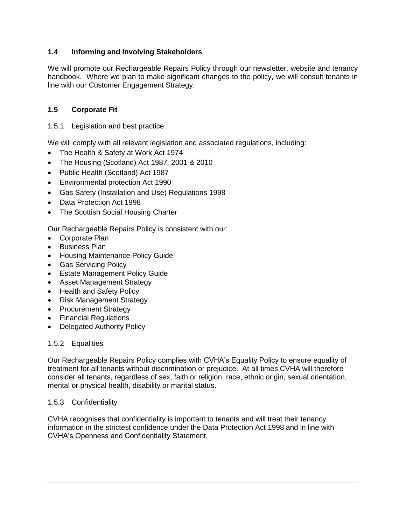# **1.4 Informing and Involving Stakeholders**

We will promote our Rechargeable Repairs Policy through our newsletter, website and tenancy handbook. Where we plan to make significant changes to the policy, we will consult tenants in line with our Customer Engagement Strategy.

# **1.5 Corporate Fit**

### 1.5.1 Legislation and best practice

We will comply with all relevant legislation and associated regulations, including:

- The Health & Safety at Work Act 1974
- The Housing (Scotland) Act 1987, 2001 & 2010
- Public Health (Scotland) Act 1987
- Environmental protection Act 1990
- Gas Safety (Installation and Use) Regulations 1998
- Data Protection Act 1998
- The Scottish Social Housing Charter

Our Rechargeable Repairs Policy is consistent with our:

- Corporate Plan
- Business Plan
- Housing Maintenance Policy Guide
- **•** Gas Servicing Policy
- Estate Management Policy Guide
- Asset Management Strategy
- Health and Safety Policy
- Risk Management Strategy
- Procurement Strategy
- Financial Regulations
- Delegated Authority Policy

## 1.5.2 Equalities

Our Rechargeable Repairs Policy complies with CVHA's Equality Policy to ensure equality of treatment for all tenants without discrimination or prejudice. At all times CVHA will therefore consider all tenants, regardless of sex, faith or religion, race, ethnic origin, sexual orientation, mental or physical health, disability or marital status.

### 1.5.3 Confidentiality

CVHA recognises that confidentiality is important to tenants and will treat their tenancy information in the strictest confidence under the Data Protection Act 1998 and in line with CVHA's Openness and Confidentiality Statement.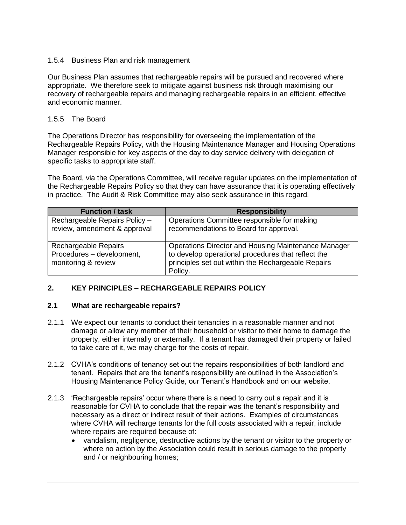### 1.5.4 Business Plan and risk management

Our Business Plan assumes that rechargeable repairs will be pursued and recovered where appropriate. We therefore seek to mitigate against business risk through maximising our recovery of rechargeable repairs and managing rechargeable repairs in an efficient, effective and economic manner.

#### 1.5.5 The Board

The Operations Director has responsibility for overseeing the implementation of the Rechargeable Repairs Policy, with the Housing Maintenance Manager and Housing Operations Manager responsible for key aspects of the day to day service delivery with delegation of specific tasks to appropriate staff.

The Board, via the Operations Committee, will receive regular updates on the implementation of the Rechargeable Repairs Policy so that they can have assurance that it is operating effectively in practice. The Audit & Risk Committee may also seek assurance in this regard.

| <b>Function / task</b>                                                   | <b>Responsibility</b>                                                                                                                                                             |
|--------------------------------------------------------------------------|-----------------------------------------------------------------------------------------------------------------------------------------------------------------------------------|
| Rechargeable Repairs Policy -<br>review, amendment & approval            | Operations Committee responsible for making<br>recommendations to Board for approval.                                                                                             |
| Rechargeable Repairs<br>Procedures - development,<br>monitoring & review | <b>Operations Director and Housing Maintenance Manager</b><br>to develop operational procedures that reflect the<br>principles set out within the Rechargeable Repairs<br>Policy. |

### **2. KEY PRINCIPLES – RECHARGEABLE REPAIRS POLICY**

### **2.1 What are rechargeable repairs?**

- 2.1.1 We expect our tenants to conduct their tenancies in a reasonable manner and not damage or allow any member of their household or visitor to their home to damage the property, either internally or externally. If a tenant has damaged their property or failed to take care of it, we may charge for the costs of repair.
- 2.1.2 CVHA's conditions of tenancy set out the repairs responsibilities of both landlord and tenant. Repairs that are the tenant's responsibility are outlined in the Association's Housing Maintenance Policy Guide, our Tenant's Handbook and on our website.
- 2.1.3 'Rechargeable repairs' occur where there is a need to carry out a repair and it is reasonable for CVHA to conclude that the repair was the tenant's responsibility and necessary as a direct or indirect result of their actions. Examples of circumstances where CVHA will recharge tenants for the full costs associated with a repair, include where repairs are required because of:
	- vandalism, negligence, destructive actions by the tenant or visitor to the property or where no action by the Association could result in serious damage to the property and / or neighbouring homes;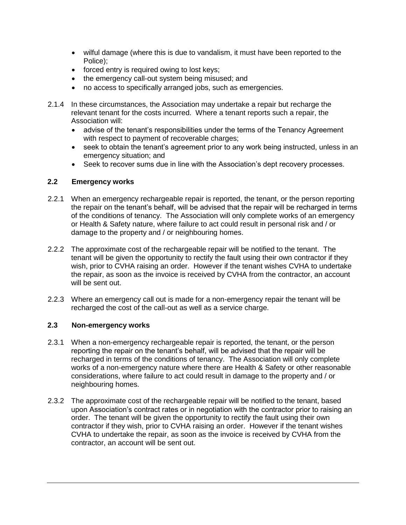- wilful damage (where this is due to vandalism, it must have been reported to the Police);
- forced entry is required owing to lost keys;
- the emergency call-out system being misused; and
- no access to specifically arranged jobs, such as emergencies.
- 2.1.4 In these circumstances, the Association may undertake a repair but recharge the relevant tenant for the costs incurred. Where a tenant reports such a repair, the Association will:
	- advise of the tenant's responsibilities under the terms of the Tenancy Agreement with respect to payment of recoverable charges;
	- seek to obtain the tenant's agreement prior to any work being instructed, unless in an emergency situation; and
	- Seek to recover sums due in line with the Association's dept recovery processes.

### **2.2 Emergency works**

- 2.2.1 When an emergency rechargeable repair is reported, the tenant, or the person reporting the repair on the tenant's behalf, will be advised that the repair will be recharged in terms of the conditions of tenancy. The Association will only complete works of an emergency or Health & Safety nature, where failure to act could result in personal risk and / or damage to the property and / or neighbouring homes.
- 2.2.2 The approximate cost of the rechargeable repair will be notified to the tenant. The tenant will be given the opportunity to rectify the fault using their own contractor if they wish, prior to CVHA raising an order. However if the tenant wishes CVHA to undertake the repair, as soon as the invoice is received by CVHA from the contractor, an account will be sent out.
- 2.2.3 Where an emergency call out is made for a non-emergency repair the tenant will be recharged the cost of the call-out as well as a service charge.

### **2.3 Non-emergency works**

- 2.3.1 When a non-emergency rechargeable repair is reported, the tenant, or the person reporting the repair on the tenant's behalf, will be advised that the repair will be recharged in terms of the conditions of tenancy. The Association will only complete works of a non-emergency nature where there are Health & Safety or other reasonable considerations, where failure to act could result in damage to the property and / or neighbouring homes.
- 2.3.2 The approximate cost of the rechargeable repair will be notified to the tenant, based upon Association's contract rates or in negotiation with the contractor prior to raising an order. The tenant will be given the opportunity to rectify the fault using their own contractor if they wish, prior to CVHA raising an order. However if the tenant wishes CVHA to undertake the repair, as soon as the invoice is received by CVHA from the contractor, an account will be sent out.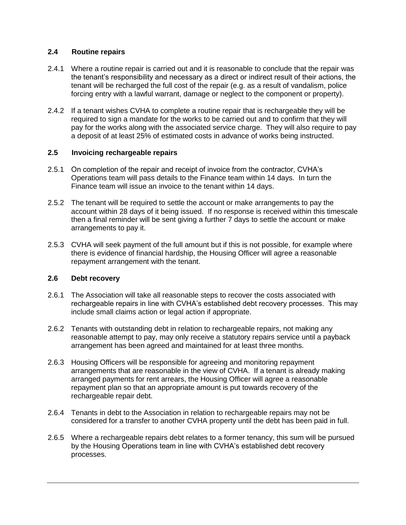### **2.4 Routine repairs**

- 2.4.1 Where a routine repair is carried out and it is reasonable to conclude that the repair was the tenant's responsibility and necessary as a direct or indirect result of their actions, the tenant will be recharged the full cost of the repair (e.g. as a result of vandalism, police forcing entry with a lawful warrant, damage or neglect to the component or property).
- 2.4.2 If a tenant wishes CVHA to complete a routine repair that is rechargeable they will be required to sign a mandate for the works to be carried out and to confirm that they will pay for the works along with the associated service charge. They will also require to pay a deposit of at least 25% of estimated costs in advance of works being instructed.

### **2.5 Invoicing rechargeable repairs**

- 2.5.1 On completion of the repair and receipt of invoice from the contractor, CVHA's Operations team will pass details to the Finance team within 14 days. In turn the Finance team will issue an invoice to the tenant within 14 days.
- 2.5.2 The tenant will be required to settle the account or make arrangements to pay the account within 28 days of it being issued. If no response is received within this timescale then a final reminder will be sent giving a further 7 days to settle the account or make arrangements to pay it.
- 2.5.3 CVHA will seek payment of the full amount but if this is not possible, for example where there is evidence of financial hardship, the Housing Officer will agree a reasonable repayment arrangement with the tenant.

## **2.6 Debt recovery**

- 2.6.1 The Association will take all reasonable steps to recover the costs associated with rechargeable repairs in line with CVHA's established debt recovery processes. This may include small claims action or legal action if appropriate.
- 2.6.2 Tenants with outstanding debt in relation to rechargeable repairs, not making any reasonable attempt to pay, may only receive a statutory repairs service until a payback arrangement has been agreed and maintained for at least three months.
- 2.6.3 Housing Officers will be responsible for agreeing and monitoring repayment arrangements that are reasonable in the view of CVHA. If a tenant is already making arranged payments for rent arrears, the Housing Officer will agree a reasonable repayment plan so that an appropriate amount is put towards recovery of the rechargeable repair debt.
- 2.6.4 Tenants in debt to the Association in relation to rechargeable repairs may not be considered for a transfer to another CVHA property until the debt has been paid in full.
- 2.6.5 Where a rechargeable repairs debt relates to a former tenancy, this sum will be pursued by the Housing Operations team in line with CVHA's established debt recovery processes.